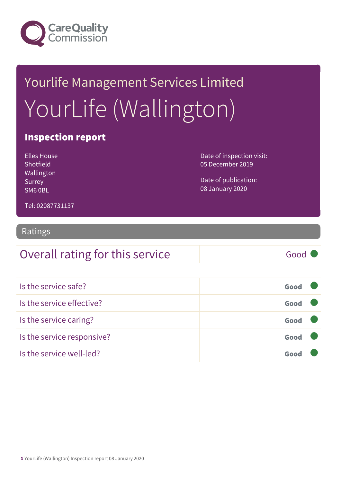

# Yourlife Management Services Limited YourLife (Wallington)

### Inspection report

| Elles House,     | Date of inspection visit: |
|------------------|---------------------------|
| <b>Shotfield</b> | 05 December 2019          |
| Wallington       |                           |
| Surrey           | Date of publication:      |
| SM60BL           | 08 January 2020           |

Tel: 02087731137

### Ratings

| Overall rating for this service | Good |
|---------------------------------|------|
|---------------------------------|------|

| Is the service safe?       | Good |  |
|----------------------------|------|--|
| Is the service effective?  | Good |  |
| Is the service caring?     | Good |  |
| Is the service responsive? | Good |  |
| Is the service well-led?   |      |  |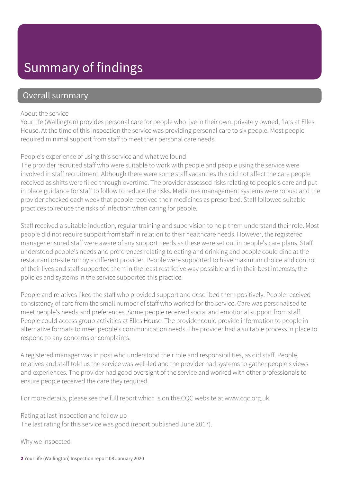### Summary of findings

### Overall summary

#### About the service

YourLife (Wallington) provides personal care for people who live in their own, privately owned, flats at Elles House. At the time of this inspection the service was providing personal care to six people. Most people required minimal support from staff to meet their personal care needs.

#### People's experience of using this service and what we found

The provider recruited staff who were suitable to work with people and people using the service were involved in staff recruitment. Although there were some staff vacancies this did not affect the care people received as shifts were filled through overtime. The provider assessed risks relating to people's care and put in place guidance for staff to follow to reduce the risks. Medicines management systems were robust and the provider checked each week that people received their medicines as prescribed. Staff followed suitable practices to reduce the risks of infection when caring for people.

Staff received a suitable induction, regular training and supervision to help them understand their role. Most people did not require support from staff in relation to their healthcare needs. However, the registered manager ensured staff were aware of any support needs as these were set out in people's care plans. Staff understood people's needs and preferences relating to eating and drinking and people could dine at the restaurant on-site run by a different provider. People were supported to have maximum choice and control of their lives and staff supported them in the least restrictive way possible and in their best interests; the policies and systems in the service supported this practice.

People and relatives liked the staff who provided support and described them positively. People received consistency of care from the small number of staff who worked for the service. Care was personalised to meet people's needs and preferences. Some people received social and emotional support from staff. People could access group activities at Elles House. The provider could provide information to people in alternative formats to meet people's communication needs. The provider had a suitable process in place to respond to any concerns or complaints.

A registered manager was in post who understood their role and responsibilities, as did staff. People, relatives and staff told us the service was well-led and the provider had systems to gather people's views and experiences. The provider had good oversight of the service and worked with other professionals to ensure people received the care they required.

For more details, please see the full report which is on the CQC website at www.cqc.org.uk

Rating at last inspection and follow up

The last rating for this service was good (report published June 2017).

Why we inspected

2 YourLife (Wallington) Inspection report 08 January 2020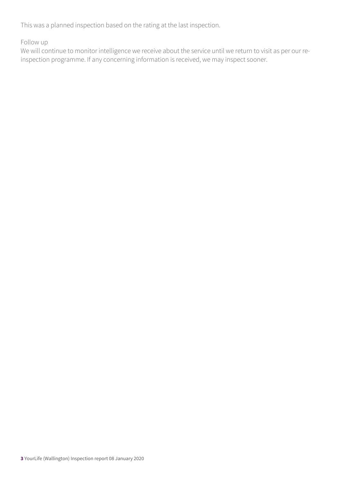This was a planned inspection based on the rating at the last inspection.

Follow up

We will continue to monitor intelligence we receive about the service until we return to visit as per our reinspection programme. If any concerning information is received, we may inspect sooner.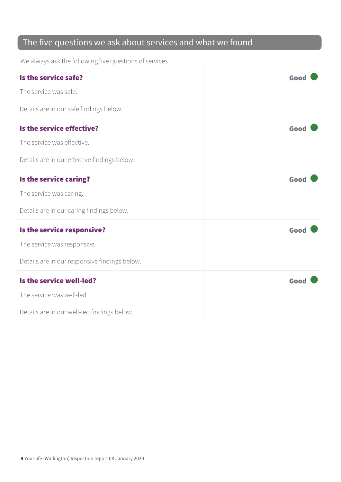### The five questions we ask about services and what we found

We always ask the following five questions of services.

| Is the service safe?                          | Good |
|-----------------------------------------------|------|
| The service was safe.                         |      |
| Details are in our safe findings below.       |      |
| Is the service effective?                     | Good |
| The service was effective.                    |      |
| Details are in our effective findings below.  |      |
| Is the service caring?                        | Good |
| The service was caring.                       |      |
| Details are in our caring findings below.     |      |
| Is the service responsive?                    | Good |
| The service was responsive.                   |      |
| Details are in our responsive findings below. |      |
| Is the service well-led?                      | Good |
| The service was well-led.                     |      |
| Details are in our well-led findings below.   |      |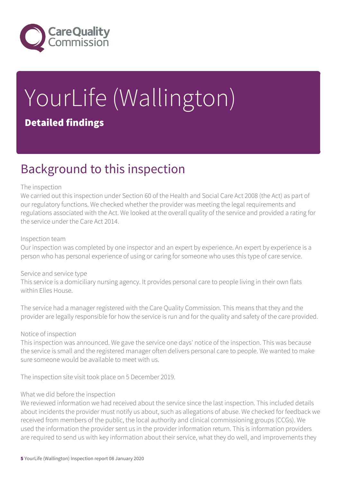

# YourLife (Wallington) Detailed findings

### Background to this inspection

#### The inspection

We carried out this inspection under Section 60 of the Health and Social Care Act 2008 (the Act) as part of our regulatory functions. We checked whether the provider was meeting the legal requirements and regulations associated with the Act. We looked at the overall quality of the service and provided a rating for the service under the Care Act 2014.

#### Inspection team

Our inspection was completed by one inspector and an expert by experience. An expert by experience is a person who has personal experience of using or caring for someone who uses this type of care service.

#### Service and service type

This service is a domiciliary nursing agency. It provides personal care to people living in their own flats within Elles House.

The service had a manager registered with the Care Quality Commission. This means that they and the provider are legally responsible for how the service is run and for the quality and safety of the care provided.

#### Notice of inspection

This inspection was announced. We gave the service one days' notice of the inspection. This was because the service is small and the registered manager often delivers personal care to people. We wanted to make sure someone would be available to meet with us.

The inspection site visit took place on 5 December 2019.

#### What we did before the inspection

We reviewed information we had received about the service since the last inspection. This included details about incidents the provider must notify us about, such as allegations of abuse. We checked for feedback we received from members of the public, the local authority and clinical commissioning groups (CCGs). We used the information the provider sent us in the provider information return. This is information providers are required to send us with key information about their service, what they do well, and improvements they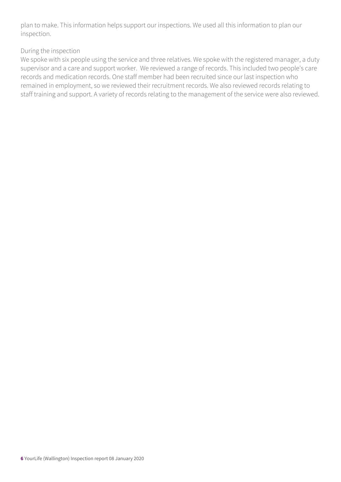plan to make. This information helps support our inspections. We used all this information to plan our inspection.

#### During the inspection

We spoke with six people using the service and three relatives. We spoke with the registered manager, a duty supervisor and a care and support worker. We reviewed a range of records. This included two people's care records and medication records. One staff member had been recruited since our last inspection who remained in employment, so we reviewed their recruitment records. We also reviewed records relating to staff training and support. A variety of records relating to the management of the service were also reviewed.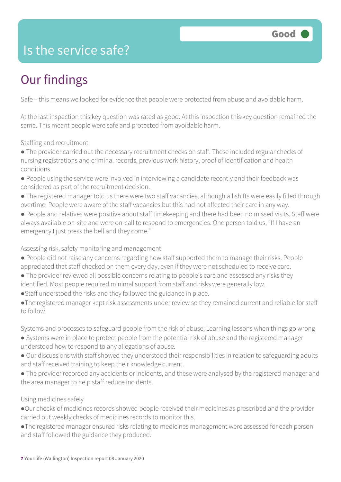### Is the service safe?

# Our findings

Safe – this means we looked for evidence that people were protected from abuse and avoidable harm.

At the last inspection this key question was rated as good. At this inspection this key question remained the same. This meant people were safe and protected from avoidable harm.

Staffing and recruitment

- The provider carried out the necessary recruitment checks on staff. These included regular checks of nursing registrations and criminal records, previous work history, proof of identification and health conditions.
- People using the service were involved in interviewing a candidate recently and their feedback was considered as part of the recruitment decision.
- The registered manager told us there were two staff vacancies, although all shifts were easily filled through overtime. People were aware of the staff vacancies but this had not affected their care in any way.
- People and relatives were positive about staff timekeeping and there had been no missed visits. Staff were always available on-site and were on-call to respond to emergencies. One person told us, "If I have an emergency I just press the bell and they come."

#### Assessing risk, safety monitoring and management

- People did not raise any concerns regarding how staff supported them to manage their risks. People appreciated that staff checked on them every day, even if they were not scheduled to receive care.
- The provider reviewed all possible concerns relating to people's care and assessed any risks they identified. Most people required minimal support from staff and risks were generally low.
- ●Staff understood the risks and they followed the guidance in place.
- ●The registered manager kept risk assessments under review so they remained current and reliable for staff to follow.

Systems and processes to safeguard people from the risk of abuse; Learning lessons when things go wrong

- Systems were in place to protect people from the potential risk of abuse and the registered manager understood how to respond to any allegations of abuse.
- Our discussions with staff showed they understood their responsibilities in relation to safeguarding adults and staff received training to keep their knowledge current.
- The provider recorded any accidents or incidents, and these were analysed by the registered manager and the area manager to help staff reduce incidents.

#### Using medicines safely

- ●Our checks of medicines records showed people received their medicines as prescribed and the provider carried out weekly checks of medicines records to monitor this.
- ●The registered manager ensured risks relating to medicines management were assessed for each person and staff followed the guidance they produced.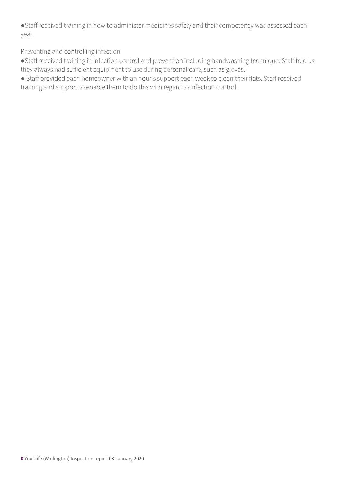●Staff received training in how to administer medicines safely and their competency was assessed each year.

Preventing and controlling infection

●Staff received training in infection control and prevention including handwashing technique. Staff told us they always had sufficient equipment to use during personal care, such as gloves.

● Staff provided each homeowner with an hour's support each week to clean their flats. Staff received training and support to enable them to do this with regard to infection control.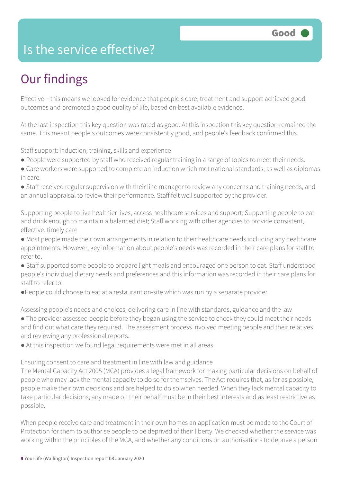### Is the service effective?

## Our findings

Effective – this means we looked for evidence that people's care, treatment and support achieved good outcomes and promoted a good quality of life, based on best available evidence.

At the last inspection this key question was rated as good. At this inspection this key question remained the same. This meant people's outcomes were consistently good, and people's feedback confirmed this.

Staff support: induction, training, skills and experience

- People were supported by staff who received regular training in a range of topics to meet their needs.
- Care workers were supported to complete an induction which met national standards, as well as diplomas in care.
- Staff received regular supervision with their line manager to review any concerns and training needs, and an annual appraisal to review their performance. Staff felt well supported by the provider.

Supporting people to live healthier lives, access healthcare services and support; Supporting people to eat and drink enough to maintain a balanced diet; Staff working with other agencies to provide consistent, effective, timely care

- Most people made their own arrangements in relation to their healthcare needs including any healthcare appointments. However, key information about people's needs was recorded in their care plans for staff to refer to.
- Staff supported some people to prepare light meals and encouraged one person to eat. Staff understood people's individual dietary needs and preferences and this information was recorded in their care plans for staff to refer to.
- ●People could choose to eat at a restaurant on-site which was run by a separate provider.

Assessing people's needs and choices; delivering care in line with standards, guidance and the law

- The provider assessed people before they began using the service to check they could meet their needs and find out what care they required. The assessment process involved meeting people and their relatives and reviewing any professional reports.
- At this inspection we found legal requirements were met in all areas.

Ensuring consent to care and treatment in line with law and guidance

The Mental Capacity Act 2005 (MCA) provides a legal framework for making particular decisions on behalf of people who may lack the mental capacity to do so for themselves. The Act requires that, as far as possible, people make their own decisions and are helped to do so when needed. When they lack mental capacity to take particular decisions, any made on their behalf must be in their best interests and as least restrictive as possible.

When people receive care and treatment in their own homes an application must be made to the Court of Protection for them to authorise people to be deprived of their liberty. We checked whether the service was working within the principles of the MCA, and whether any conditions on authorisations to deprive a person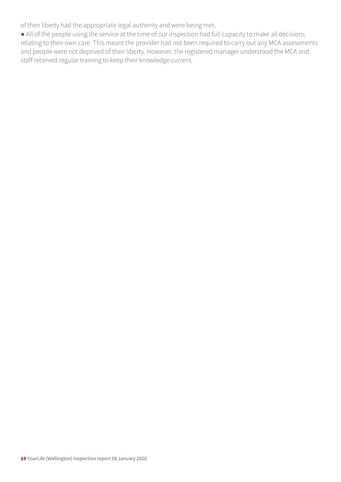of their liberty had the appropriate legal authority and were being met.

● All of the people using the service at the time of our inspection had full capacity to make all decisions relating to their own care. This meant the provider had not been required to carry out any MCA assessments and people were not deprived of their liberty. However, the registered manager understood the MCA and staff received regular training to keep their knowledge current.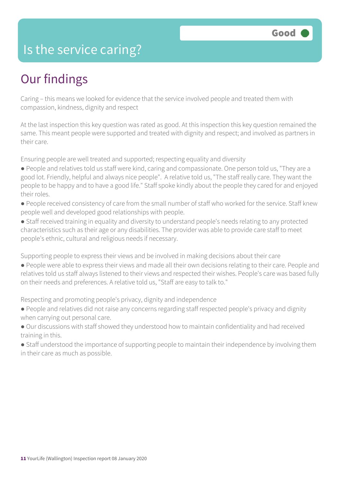### Is the service caring?

## Our findings

Caring – this means we looked for evidence that the service involved people and treated them with compassion, kindness, dignity and respect

At the last inspection this key question was rated as good. At this inspection this key question remained the same. This meant people were supported and treated with dignity and respect; and involved as partners in their care.

Ensuring people are well treated and supported; respecting equality and diversity

- People and relatives told us staff were kind, caring and compassionate. One person told us, "They are a good lot. Friendly, helpful and always nice people". A relative told us, "The staff really care. They want the people to be happy and to have a good life." Staff spoke kindly about the people they cared for and enjoyed their roles.
- People received consistency of care from the small number of staff who worked for the service. Staff knew people well and developed good relationships with people.
- Staff received training in equality and diversity to understand people's needs relating to any protected characteristics such as their age or any disabilities. The provider was able to provide care staff to meet people's ethnic, cultural and religious needs if necessary.

Supporting people to express their views and be involved in making decisions about their care

● People were able to express their views and made all their own decisions relating to their care. People and relatives told us staff always listened to their views and respected their wishes. People's care was based fully on their needs and preferences. A relative told us, "Staff are easy to talk to."

Respecting and promoting people's privacy, dignity and independence

- People and relatives did not raise any concerns regarding staff respected people's privacy and dignity when carrying out personal care.
- Our discussions with staff showed they understood how to maintain confidentiality and had received training in this.
- Staff understood the importance of supporting people to maintain their independence by involving them in their care as much as possible.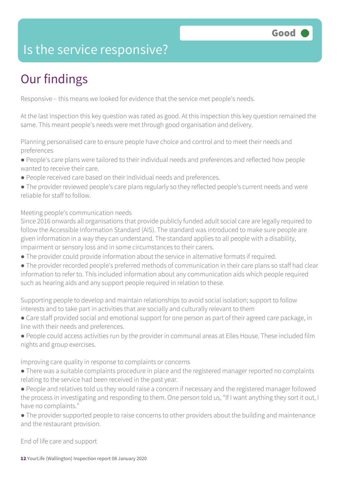### Is the service responsive?

# Our findings

Responsive – this means we looked for evidence that the service met people's needs.

At the last inspection this key question was rated as good. At this inspection this key question remained the same. This meant people's needs were met through good organisation and delivery.

Planning personalised care to ensure people have choice and control and to meet their needs and preferences

- People's care plans were tailored to their individual needs and preferences and reflected how people wanted to receive their care.
- People received care based on their individual needs and preferences.
- The provider reviewed people's care plans regularly so they reflected people's current needs and were reliable for staff to follow.

#### Meeting people's communication needs

Since 2016 onwards all organisations that provide publicly funded adult social care are legally required to follow the Accessible Information Standard (AIS). The standard was introduced to make sure people are given information in a way they can understand. The standard applies to all people with a disability, impairment or sensory loss and in some circumstances to their carers.

- The provider could provide information about the service in alternative formats if required.
- The provider recorded people's preferred methods of communication in their care plans so staff had clear information to refer to. This included information about any communication aids which people required such as hearing aids and any support people required in relation to these.

Supporting people to develop and maintain relationships to avoid social isolation; support to follow interests and to take part in activities that are socially and culturally relevant to them

- Care staff provided social and emotional support for one person as part of their agreed care package, in line with their needs and preferences.
- People could access activities run by the provider in communal areas at Elles House. These included film nights and group exercises.

Improving care quality in response to complaints or concerns

- There was a suitable complaints procedure in place and the registered manager reported no complaints relating to the service had been received in the past year.
- People and relatives told us they would raise a concern if necessary and the registered manager followed the process in investigating and responding to them. One person told us, "If I want anything they sort it out, I have no complaints."
- The provider supported people to raise concerns to other providers about the building and maintenance and the restaurant provision.

End of life care and support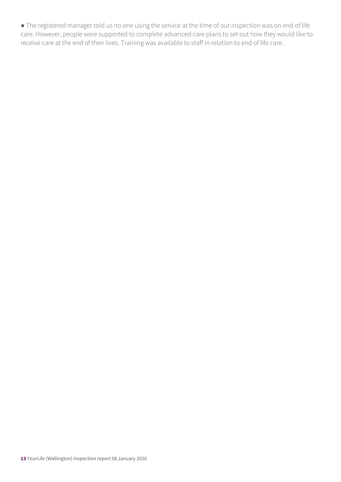● The registered manager told us no one using the service at the time of our inspection was on end of life care. However, people were supported to complete advanced care plans to set out how they would like to receive care at the end of their lives. Training was available to staff in relation to end of life care.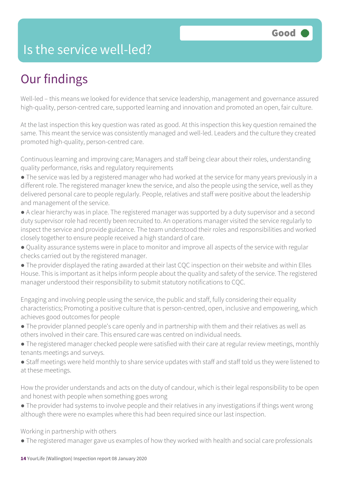### Is the service well-led?

## Our findings

Well-led – this means we looked for evidence that service leadership, management and governance assured high-quality, person-centred care, supported learning and innovation and promoted an open, fair culture.

At the last inspection this key question was rated as good. At this inspection this key question remained the same. This meant the service was consistently managed and well-led. Leaders and the culture they created promoted high-quality, person-centred care.

Continuous learning and improving care; Managers and staff being clear about their roles, understanding quality performance, risks and regulatory requirements

- The service was led by a registered manager who had worked at the service for many years previously in a different role. The registered manager knew the service, and also the people using the service, well as they delivered personal care to people regularly. People, relatives and staff were positive about the leadership and management of the service.
- A clear hierarchy was in place. The registered manager was supported by a duty supervisor and a second duty supervisor role had recently been recruited to. An operations manager visited the service regularly to inspect the service and provide guidance. The team understood their roles and responsibilities and worked closely together to ensure people received a high standard of care.
- Quality assurance systems were in place to monitor and improve all aspects of the service with regular checks carried out by the registered manager.
- The provider displayed the rating awarded at their last CQC inspection on their website and within Elles House. This is important as it helps inform people about the quality and safety of the service. The registered manager understood their responsibility to submit statutory notifications to CQC.

Engaging and involving people using the service, the public and staff, fully considering their equality characteristics; Promoting a positive culture that is person-centred, open, inclusive and empowering, which achieves good outcomes for people

- The provider planned people's care openly and in partnership with them and their relatives as well as others involved in their care. This ensured care was centred on individual needs.
- The registered manager checked people were satisfied with their care at regular review meetings, monthly tenants meetings and surveys.
- Staff meetings were held monthly to share service updates with staff and staff told us they were listened to at these meetings.

How the provider understands and acts on the duty of candour, which is their legal responsibility to be open and honest with people when something goes wrong

● The provider had systems to involve people and their relatives in any investigations if things went wrong although there were no examples where this had been required since our last inspection.

Working in partnership with others

● The registered manager gave us examples of how they worked with health and social care professionals